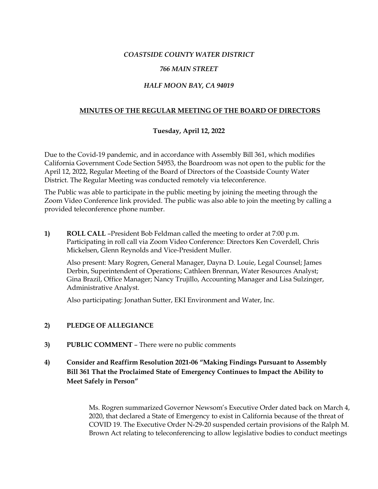### *COASTSIDE COUNTY WATER DISTRICT*

### *766 MAIN STREET*

### *HALF MOON BAY, CA 94019*

## **MINUTES OF THE REGULAR MEETING OF THE BOARD OF DIRECTORS**

## **Tuesday, April 12, 2022**

Due to the Covid-19 pandemic, and in accordance with Assembly Bill 361, which modifies California Government Code Section 54953, the Boardroom was not open to the public for the April 12, 2022, Regular Meeting of the Board of Directors of the Coastside County Water District. The Regular Meeting was conducted remotely via teleconference.

The Public was able to participate in the public meeting by joining the meeting through the Zoom Video Conference link provided. The public was also able to join the meeting by calling a provided teleconference phone number.

**1) ROLL CALL** –President Bob Feldman called the meeting to order at 7:00 p.m. Participating in roll call via Zoom Video Conference: Directors Ken Coverdell, Chris Mickelsen, Glenn Reynolds and Vice-President Muller.

Also present: Mary Rogren, General Manager, Dayna D. Louie, Legal Counsel; James Derbin, Superintendent of Operations; Cathleen Brennan, Water Resources Analyst; Gina Brazil, Office Manager; Nancy Trujillo, Accounting Manager and Lisa Sulzinger, Administrative Analyst.

Also participating: Jonathan Sutter, EKI Environment and Water, Inc.

#### **2) PLEDGE OF ALLEGIANCE**

- **3) PUBLIC COMMENT**  There were no public comments
- **4) Consider and Reaffirm Resolution 2021-06 "Making Findings Pursuant to Assembly Bill 361 That the Proclaimed State of Emergency Continues to Impact the Ability to Meet Safely in Person"**

Ms. Rogren summarized Governor Newsom's Executive Order dated back on March 4, 2020, that declared a State of Emergency to exist in California because of the threat of COVID 19. The Executive Order N-29-20 suspended certain provisions of the Ralph M. Brown Act relating to teleconferencing to allow legislative bodies to conduct meetings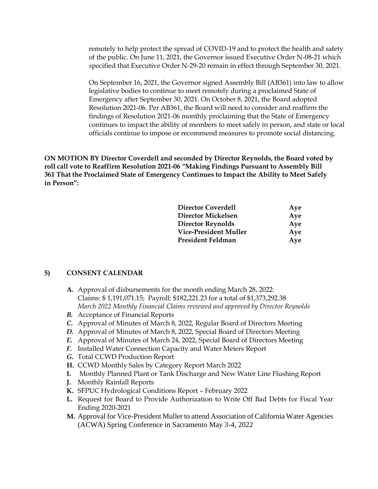remotely to help protect the spread of COVID-19 and to protect the health and safety of the public. On June 11, 2021, the Governor issued Executive Order N-08-21 which specified that Executive Order N-29-20 remain in effect through September 30, 2021.

On September 16, 2021, the Governor signed Assembly Bill (AB361) into law to allow legislative bodies to continue to meet remotely during a proclaimed State of Emergency after September 30, 2021. On October 8, 2021, the Board adopted Resolution 2021-06. Per AB361, the Board will need to consider and reaffirm the findings of Resolution 2021-06 monthly proclaiming that the State of Emergency continues to impact the ability of members to meet safely in person, and state or local officials continue to impose or recommend measures to promote social distancing.

**ON MOTION BY Director Coverdell and seconded by Director Reynolds, the Board voted by roll call vote to Reaffirm Resolution 2021-06 "Making Findings Pursuant to Assembly Bill 361 That the Proclaimed State of Emergency Continues to Impact the Ability to Meet Safely in Person":**

| <b>Director Coverdell</b> | Aye |
|---------------------------|-----|
| Director Mickelsen        | Aye |
| Director Reynolds         | Aye |
| Vice-President Muller     | Aye |
| President Feldman         | Aye |
|                           |     |

#### **5) CONSENT CALENDAR**

- **A.** Approval of disbursements for the month ending March 28, 2022: Claims: \$ 1,191,071.15; Payroll: \$182,221.23 for a total of \$1,373,292.38 *March 2022 Monthly Financial Claims reviewed and approved by Director Reynolds*
- *B.* Acceptance of Financial Reports
- *C.* Approval of Minutes of March 8, 2022, Regular Board of Directors Meeting
- *D.* Approval of Minutes of March 8, 2022, Special Board of Directors Meeting
- *E.* Approval of Minutes of March 24, 2022, Special Board of Directors Meeting
- *F.* Installed Water Connection Capacity and Water Meters Report
- *G.* Total CCWD Production Report
- **H.** CCWD Monthly Sales by Category Report March 2022
- **I.** Monthly Planned Plant or Tank Discharge and New Water Line Flushing Report
- **J.** Monthly Rainfall Reports
- **K.** SFPUC Hydrological Conditions Report February 2022
- **L.** Request for Board to Provide Authorization to Write Off Bad Debts for Fiscal Year Ending 2020-2021
- **M.** Approval for Vice-President Muller to attend Association of California Water Agencies (ACWA) Spring Conference in Sacramento May 3-4, 2022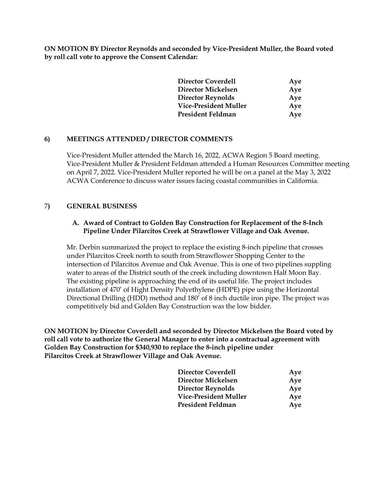**ON MOTION BY Director Reynolds and seconded by Vice-President Muller, the Board voted by roll call vote to approve the Consent Calendar:** 

| <b>Director Coverdell</b> | Aye |
|---------------------------|-----|
| Director Mickelsen        | Aye |
| <b>Director Reynolds</b>  | Aye |
| Vice-President Muller     | Aye |
| President Feldman         | Aye |

## **6) MEETINGS ATTENDED / DIRECTOR COMMENTS**

Vice-President Muller attended the March 16, 2022, ACWA Region 5 Board meeting. Vice-President Muller & President Feldman attended a Human Resources Committee meeting on April 7, 2022. Vice-President Muller reported he will be on a panel at the May 3, 2022 ACWA Conference to discuss water issues facing coastal communities in California.

#### 7**) GENERAL BUSINESS**

#### **A. Award of Contract to Golden Bay Construction for Replacement of the 8-Inch Pipeline Under Pilarcitos Creek at Strawflower Village and Oak Avenue.**

Mr. Derbin summarized the project to replace the existing 8-inch pipeline that crosses under Pilarcitos Creek north to south from Strawflower Shopping Center to the intersection of Pilarcitos Avenue and Oak Avenue. This is one of two pipelines suppling water to areas of the District south of the creek including downtown Half Moon Bay. The existing pipeline is approaching the end of its useful life. The project includes installation of 470' of Hight Density Polyethylene (HDPE) pipe using the Horizontal Directional Drilling (HDD) method and 180' of 8 inch ductile iron pipe. The project was competitively bid and Golden Bay Construction was the low bidder.

**ON MOTION by Director Coverdell and seconded by Director Mickelsen the Board voted by roll call vote to authorize the General Manager to enter into a contractual agreement with Golden Bay Construction for \$340,930 to replace the 8-inch pipeline under Pilarcitos Creek at Strawflower Village and Oak Avenue.**

| <b>Director Coverdell</b> | Aye |  |
|---------------------------|-----|--|
| Director Mickelsen        | Aye |  |
| Director Reynolds         | Aye |  |
| Vice-President Muller     | Aye |  |
| President Feldman         | Aye |  |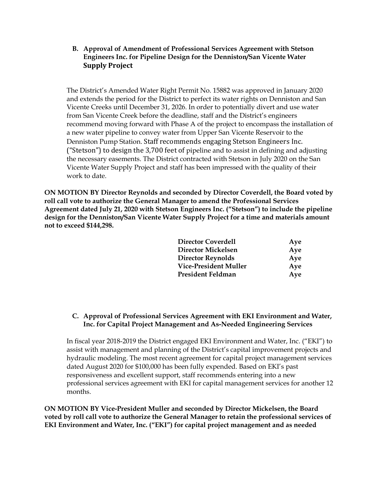**B. Approval of Amendment of Professional Services Agreement with Stetson Engineers Inc. for Pipeline Design for the Denniston/San Vicente Water Supply Project** 

The District's Amended Water Right Permit No. 15882 was approved in January 2020 and extends the period for the District to perfect its water rights on Denniston and San Vicente Creeks until December 31, 2026. In order to potentially divert and use water from San Vicente Creek before the deadline, staff and the District's engineers recommend moving forward with Phase A of the project to encompass the installation of a new water pipeline to convey water from Upper San Vicente Reservoir to the Denniston Pump Station. Staff recommends engaging Stetson Engineers Inc. ("Stetson") to design the 3,700 feet of pipeline and to assist in defining and adjusting the necessary easements. The District contracted with Stetson in July 2020 on the San Vicente Water Supply Project and staff has been impressed with the quality of their work to date.

**ON MOTION BY Director Reynolds and seconded by Director Coverdell, the Board voted by roll call vote to authorize the General Manager to amend the Professional Services Agreement dated July 21, 2020 with Stetson Engineers Inc. ("Stetson") to include the pipeline design for the Denniston/San Vicente Water Supply Project for a time and materials amount not to exceed \$144,298.**

| <b>Director Coverdell</b> | Aye |
|---------------------------|-----|
| Director Mickelsen        | Aye |
| <b>Director Reynolds</b>  | Aye |
| Vice-President Muller     | Aye |
| President Feldman         | Aye |

## **C. Approval of Professional Services Agreement with EKI Environment and Water, Inc. for Capital Project Management and As-Needed Engineering Services**

In fiscal year 2018-2019 the District engaged EKI Environment and Water, Inc. ("EKI") to assist with management and planning of the District's capital improvement projects and hydraulic modeling. The most recent agreement for capital project management services dated August 2020 for \$100,000 has been fully expended. Based on EKI's past responsiveness and excellent support, staff recommends entering into a new professional services agreement with EKI for capital management services for another 12 months.

**ON MOTION BY Vice-President Muller and seconded by Director Mickelsen, the Board voted by roll call vote to authorize the General Manager to retain the professional services of EKI Environment and Water, Inc. ("EKI") for capital project management and as needed**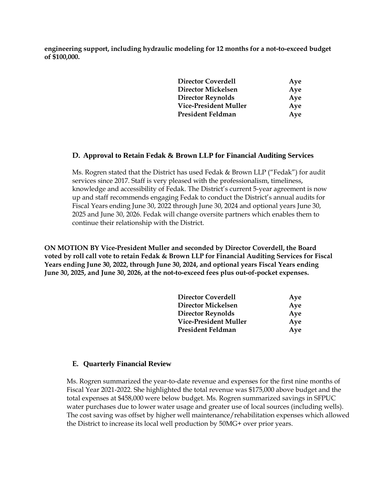**engineering support, including hydraulic modeling for 12 months for a not-to-exceed budget of \$100,000.**

| <b>Director Coverdell</b> | Aye |
|---------------------------|-----|
| <b>Director Mickelsen</b> | Aye |
| Director Reynolds         | Aye |
| Vice-President Muller     | Aye |
| President Feldman         | Aye |

#### **D. Approval to Retain Fedak & Brown LLP for Financial Auditing Services**

Ms. Rogren stated that the District has used Fedak & Brown LLP ("Fedak") for audit services since 2017. Staff is very pleased with the professionalism, timeliness, knowledge and accessibility of Fedak. The District's current 5-year agreement is now up and staff recommends engaging Fedak to conduct the District's annual audits for Fiscal Years ending June 30, 2022 through June 30, 2024 and optional years June 30, 2025 and June 30, 2026. Fedak will change oversite partners which enables them to continue their relationship with the District.

**ON MOTION BY Vice-President Muller and seconded by Director Coverdell, the Board voted by roll call vote to retain Fedak & Brown LLP for Financial Auditing Services for Fiscal Years ending June 30, 2022, through June 30, 2024, and optional years Fiscal Years ending June 30, 2025, and June 30, 2026, at the not-to-exceed fees plus out-of-pocket expenses.**

| <b>Director Coverdell</b> | Aye |
|---------------------------|-----|
| Director Mickelsen        | Aye |
| <b>Director Reynolds</b>  | Aye |
| Vice-President Muller     | Aye |
| President Feldman         | Aye |

#### **E. Quarterly Financial Review**

Ms. Rogren summarized the year-to-date revenue and expenses for the first nine months of Fiscal Year 2021-2022. She highlighted the total revenue was \$175,000 above budget and the total expenses at \$458,000 were below budget. Ms. Rogren summarized savings in SFPUC water purchases due to lower water usage and greater use of local sources (including wells). The cost saving was offset by higher well maintenance/rehabilitation expenses which allowed the District to increase its local well production by 50MG+ over prior years.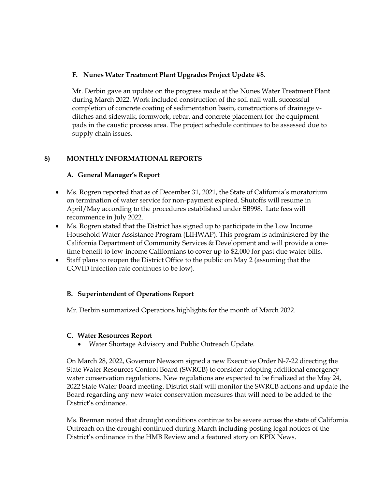## **F. Nunes Water Treatment Plant Upgrades Project Update #8.**

Mr. Derbin gave an update on the progress made at the Nunes Water Treatment Plant during March 2022. Work included construction of the soil nail wall, successful completion of concrete coating of sedimentation basin, constructions of drainage vditches and sidewalk, formwork, rebar, and concrete placement for the equipment pads in the caustic process area. The project schedule continues to be assessed due to supply chain issues.

## **8) MONTHLY INFORMATIONAL REPORTS**

## **A. General Manager's Report**

- Ms. Rogren reported that as of December 31, 2021, the State of California's moratorium on termination of water service for non-payment expired. Shutoffs will resume in April/May according to the procedures established under SB998. Late fees will recommence in July 2022.
- Ms. Rogren stated that the District has signed up to participate in the Low Income Household Water Assistance Program (LIHWAP). This program is administered by the California Department of Community Services & Development and will provide a onetime benefit to low-income Californians to cover up to \$2,000 for past due water bills.
- Staff plans to reopen the District Office to the public on May 2 (assuming that the COVID infection rate continues to be low).

# **B. Superintendent of Operations Report**

Mr. Derbin summarized Operations highlights for the month of March 2022.

#### **C. Water Resources Report**

• Water Shortage Advisory and Public Outreach Update.

On March 28, 2022, Governor Newsom signed a new Executive Order N-7-22 directing the State Water Resources Control Board (SWRCB) to consider adopting additional emergency water conservation regulations. New regulations are expected to be finalized at the May 24, 2022 State Water Board meeting. District staff will monitor the SWRCB actions and update the Board regarding any new water conservation measures that will need to be added to the District's ordinance.

Ms. Brennan noted that drought conditions continue to be severe across the state of California. Outreach on the drought continued during March including posting legal notices of the District's ordinance in the HMB Review and a featured story on KPIX News.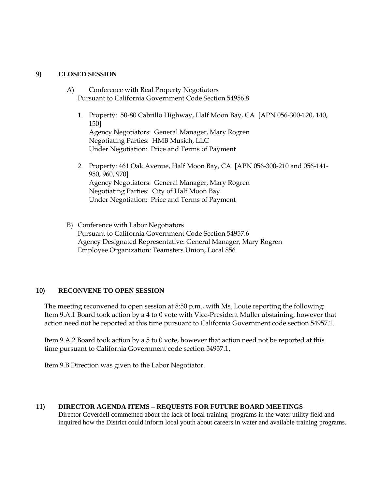#### **9) CLOSED SESSION**

- A) Conference with Real Property Negotiators Pursuant to California Government Code Section 54956.8
	- 1. Property: 50-80 Cabrillo Highway, Half Moon Bay, CA [APN 056-300-120, 140, 150] Agency Negotiators: General Manager, Mary Rogren Negotiating Parties: HMB Musich, LLC Under Negotiation: Price and Terms of Payment
	- 2. Property: 461 Oak Avenue, Half Moon Bay, CA [APN 056-300-210 and 056-141- 950, 960, 970] Agency Negotiators: General Manager, Mary Rogren Negotiating Parties: City of Half Moon Bay Under Negotiation: Price and Terms of Payment
- B) Conference with Labor Negotiators Pursuant to California Government Code Section 54957.6 Agency Designated Representative: General Manager, Mary Rogren Employee Organization: Teamsters Union, Local 856

#### **10) RECONVENE TO OPEN SESSION**

The meeting reconvened to open session at 8:50 p.m., with Ms. Louie reporting the following: Item 9.A.1 Board took action by a 4 to 0 vote with Vice-President Muller abstaining, however that action need not be reported at this time pursuant to California Government code section 54957.1.

Item 9.A.2 Board took action by a 5 to 0 vote, however that action need not be reported at this time pursuant to California Government code section 54957.1.

Item 9.B Direction was given to the Labor Negotiator.

#### **11) DIRECTOR AGENDA ITEMS – REQUESTS FOR FUTURE BOARD MEETINGS**

Director Coverdell commented about the lack of local training programs in the water utility field and inquired how the District could inform local youth about careers in water and available training programs.